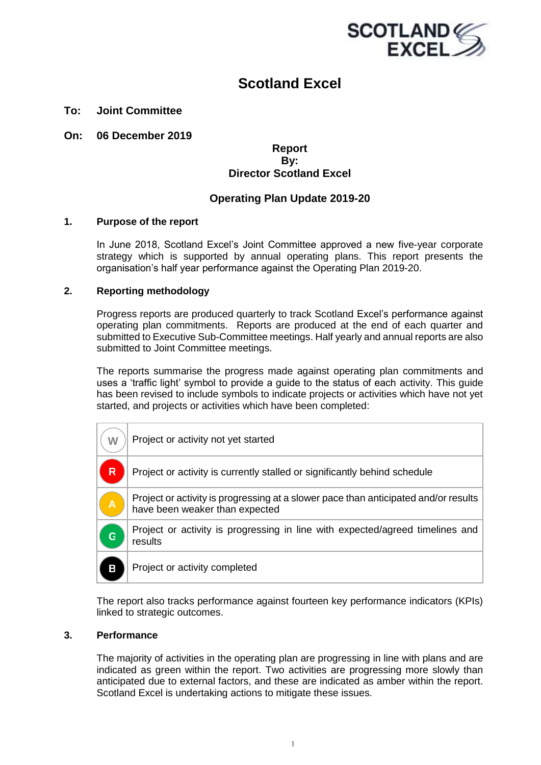

### **Scotland Excel**

#### **To: Joint Committee**

**On: 06 December 2019**

#### **Report By: Director Scotland Excel**

#### **Operating Plan Update 2019-20**

#### **1. Purpose of the report**

In June 2018, Scotland Excel's Joint Committee approved a new five-year corporate strategy which is supported by annual operating plans. This report presents the organisation's half year performance against the Operating Plan 2019-20.

#### **2. Reporting methodology**

Progress reports are produced quarterly to track Scotland Excel's performance against operating plan commitments. Reports are produced at the end of each quarter and submitted to Executive Sub-Committee meetings. Half yearly and annual reports are also submitted to Joint Committee meetings.

The reports summarise the progress made against operating plan commitments and uses a 'traffic light' symbol to provide a guide to the status of each activity. This guide has been revised to include symbols to indicate projects or activities which have not yet started, and projects or activities which have been completed:

| W                       | Project or activity not yet started                                                                                   |
|-------------------------|-----------------------------------------------------------------------------------------------------------------------|
| R                       | Project or activity is currently stalled or significantly behind schedule                                             |
| $\overline{\mathsf{A}}$ | Project or activity is progressing at a slower pace than anticipated and/or results<br>have been weaker than expected |
| G                       | Project or activity is progressing in line with expected/agreed timelines and<br>results                              |
| В                       | Project or activity completed                                                                                         |

The report also tracks performance against fourteen key performance indicators (KPIs) linked to strategic outcomes.

#### **3. Performance**

The majority of activities in the operating plan are progressing in line with plans and are indicated as green within the report. Two activities are progressing more slowly than anticipated due to external factors, and these are indicated as amber within the report. Scotland Excel is undertaking actions to mitigate these issues.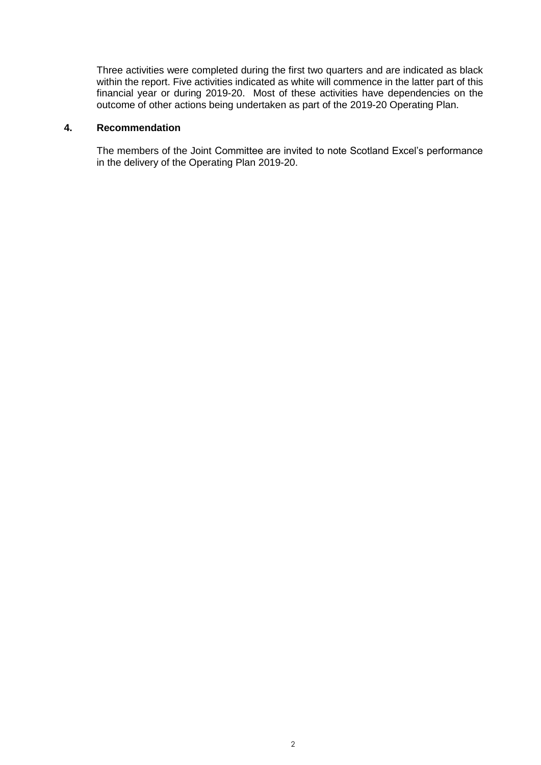Three activities were completed during the first two quarters and are indicated as black within the report. Five activities indicated as white will commence in the latter part of this financial year or during 2019-20. Most of these activities have dependencies on the outcome of other actions being undertaken as part of the 2019-20 Operating Plan.

#### **4. Recommendation**

The members of the Joint Committee are invited to note Scotland Excel's performance in the delivery of the Operating Plan 2019-20.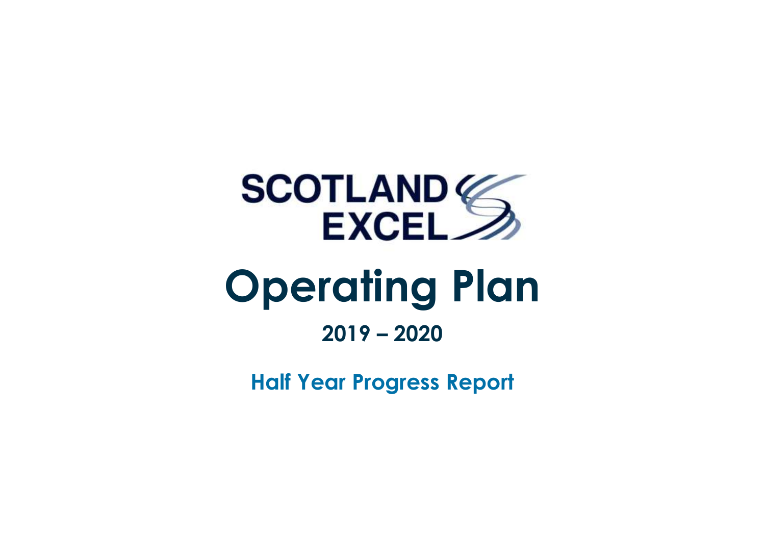

**Half Year Progress Report**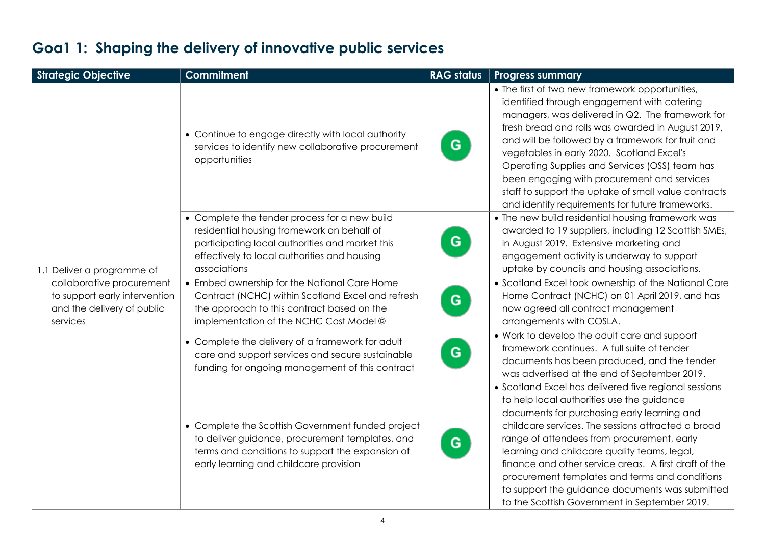| <b>Strategic Objective</b>                                                                           | <b>Commitment</b>                                                                                                                                                                                              | <b>RAG status</b> | <b>Progress summary</b>                                                                                                                                                                                                                                                                                                                                                                                                                                                                                                 |
|------------------------------------------------------------------------------------------------------|----------------------------------------------------------------------------------------------------------------------------------------------------------------------------------------------------------------|-------------------|-------------------------------------------------------------------------------------------------------------------------------------------------------------------------------------------------------------------------------------------------------------------------------------------------------------------------------------------------------------------------------------------------------------------------------------------------------------------------------------------------------------------------|
|                                                                                                      | • Continue to engage directly with local authority<br>services to identify new collaborative procurement<br>opportunities                                                                                      | G                 | • The first of two new framework opportunities,<br>identified through engagement with catering<br>managers, was delivered in Q2. The framework for<br>fresh bread and rolls was awarded in August 2019,<br>and will be followed by a framework for fruit and<br>vegetables in early 2020. Scotland Excel's<br>Operating Supplies and Services (OSS) team has<br>been engaging with procurement and services<br>staff to support the uptake of small value contracts<br>and identify requirements for future frameworks. |
| 1.1 Deliver a programme of                                                                           | • Complete the tender process for a new build<br>residential housing framework on behalf of<br>participating local authorities and market this<br>effectively to local authorities and housing<br>associations | G                 | • The new build residential housing framework was<br>awarded to 19 suppliers, including 12 Scottish SMEs,<br>in August 2019. Extensive marketing and<br>engagement activity is underway to support<br>uptake by councils and housing associations.                                                                                                                                                                                                                                                                      |
| collaborative procurement<br>to support early intervention<br>and the delivery of public<br>services | • Embed ownership for the National Care Home<br>Contract (NCHC) within Scotland Excel and refresh<br>the approach to this contract based on the<br>implementation of the NCHC Cost Model ©                     | G                 | • Scotland Excel took ownership of the National Care<br>Home Contract (NCHC) on 01 April 2019, and has<br>now agreed all contract management<br>arrangements with COSLA.                                                                                                                                                                                                                                                                                                                                                |
|                                                                                                      | • Complete the delivery of a framework for adult<br>care and support services and secure sustainable<br>funding for ongoing management of this contract                                                        | G                 | • Work to develop the adult care and support<br>framework continues. A full suite of tender<br>documents has been produced, and the tender<br>was advertised at the end of September 2019.                                                                                                                                                                                                                                                                                                                              |
|                                                                                                      | • Complete the Scottish Government funded project<br>to deliver guidance, procurement templates, and<br>terms and conditions to support the expansion of<br>early learning and childcare provision             | G                 | • Scotland Excel has delivered five regional sessions<br>to help local authorities use the guidance<br>documents for purchasing early learning and<br>childcare services. The sessions attracted a broad<br>range of attendees from procurement, early<br>learning and childcare quality teams, legal,<br>finance and other service areas. A first draft of the<br>procurement templates and terms and conditions<br>to support the guidance documents was submitted<br>to the Scottish Government in September 2019.   |

### **Goa1 1: Shaping the delivery of innovative public services**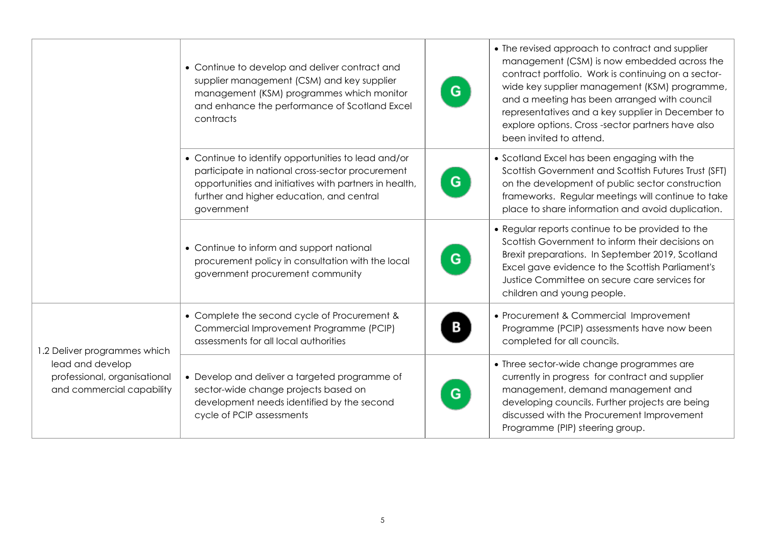|                                                                               | • Continue to develop and deliver contract and<br>supplier management (CSM) and key supplier<br>management (KSM) programmes which monitor<br>and enhance the performance of Scotland Excel<br>contracts                      | G | • The revised approach to contract and supplier<br>management (CSM) is now embedded across the<br>contract portfolio. Work is continuing on a sector-<br>wide key supplier management (KSM) programme,<br>and a meeting has been arranged with council<br>representatives and a key supplier in December to<br>explore options. Cross-sector partners have also<br>been invited to attend. |
|-------------------------------------------------------------------------------|------------------------------------------------------------------------------------------------------------------------------------------------------------------------------------------------------------------------------|---|--------------------------------------------------------------------------------------------------------------------------------------------------------------------------------------------------------------------------------------------------------------------------------------------------------------------------------------------------------------------------------------------|
|                                                                               | • Continue to identify opportunities to lead and/or<br>participate in national cross-sector procurement<br>opportunities and initiatives with partners in health,<br>further and higher education, and central<br>government | G | • Scotland Excel has been engaging with the<br>Scottish Government and Scottish Futures Trust (SFT)<br>on the development of public sector construction<br>frameworks. Regular meetings will continue to take<br>place to share information and avoid duplication.                                                                                                                         |
|                                                                               | • Continue to inform and support national<br>procurement policy in consultation with the local<br>government procurement community                                                                                           | G | • Regular reports continue to be provided to the<br>Scottish Government to inform their decisions on<br>Brexit preparations. In September 2019, Scotland<br>Excel gave evidence to the Scottish Parliament's<br>Justice Committee on secure care services for<br>children and young people.                                                                                                |
| 1.2 Deliver programmes which                                                  | • Complete the second cycle of Procurement &<br>Commercial Improvement Programme (PCIP)<br>assessments for all local authorities                                                                                             |   | • Procurement & Commercial Improvement<br>Programme (PCIP) assessments have now been<br>completed for all councils.                                                                                                                                                                                                                                                                        |
| lead and develop<br>professional, organisational<br>and commercial capability | • Develop and deliver a targeted programme of<br>sector-wide change projects based on<br>development needs identified by the second<br>cycle of PCIP assessments                                                             | G | • Three sector-wide change programmes are<br>currently in progress for contract and supplier<br>management, demand management and<br>developing councils. Further projects are being<br>discussed with the Procurement Improvement<br>Programme (PIP) steering group.                                                                                                                      |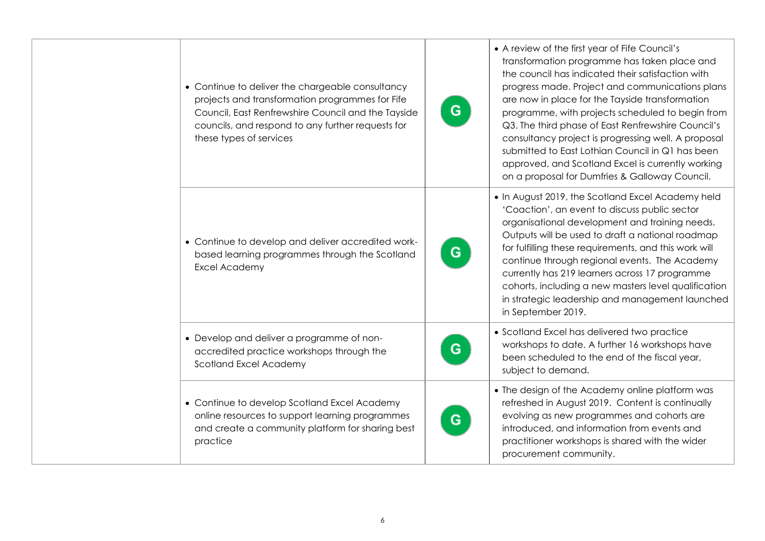| • Continue to deliver the chargeable consultancy<br>projects and transformation programmes for Fife<br>Council, East Renfrewshire Council and the Tayside<br>councils, and respond to any further requests for<br>these types of services | G | • A review of the first year of Fife Council's<br>transformation programme has taken place and<br>the council has indicated their satisfaction with<br>progress made. Project and communications plans<br>are now in place for the Tayside transformation<br>programme, with projects scheduled to begin from<br>Q3. The third phase of East Renfrewshire Council's<br>consultancy project is progressing well. A proposal<br>submitted to East Lothian Council in Q1 has been<br>approved, and Scotland Excel is currently working<br>on a proposal for Dumfries & Galloway Council. |
|-------------------------------------------------------------------------------------------------------------------------------------------------------------------------------------------------------------------------------------------|---|---------------------------------------------------------------------------------------------------------------------------------------------------------------------------------------------------------------------------------------------------------------------------------------------------------------------------------------------------------------------------------------------------------------------------------------------------------------------------------------------------------------------------------------------------------------------------------------|
| • Continue to develop and deliver accredited work-<br>based learning programmes through the Scotland<br>Excel Academy                                                                                                                     | G | . In August 2019, the Scotland Excel Academy held<br>'Coaction', an event to discuss public sector<br>organisational development and training needs.<br>Outputs will be used to draft a national roadmap<br>for fulfilling these requirements, and this work will<br>continue through regional events. The Academy<br>currently has 219 learners across 17 programme<br>cohorts, including a new masters level qualification<br>in strategic leadership and management launched<br>in September 2019.                                                                                 |
| • Develop and deliver a programme of non-<br>accredited practice workshops through the<br>Scotland Excel Academy                                                                                                                          | G | • Scotland Excel has delivered two practice<br>workshops to date. A further 16 workshops have<br>been scheduled to the end of the fiscal year,<br>subject to demand.                                                                                                                                                                                                                                                                                                                                                                                                                  |
| • Continue to develop Scotland Excel Academy<br>online resources to support learning programmes<br>and create a community platform for sharing best<br>practice                                                                           | G | • The design of the Academy online platform was<br>refreshed in August 2019. Content is continually<br>evolving as new programmes and cohorts are<br>introduced, and information from events and<br>practitioner workshops is shared with the wider<br>procurement community.                                                                                                                                                                                                                                                                                                         |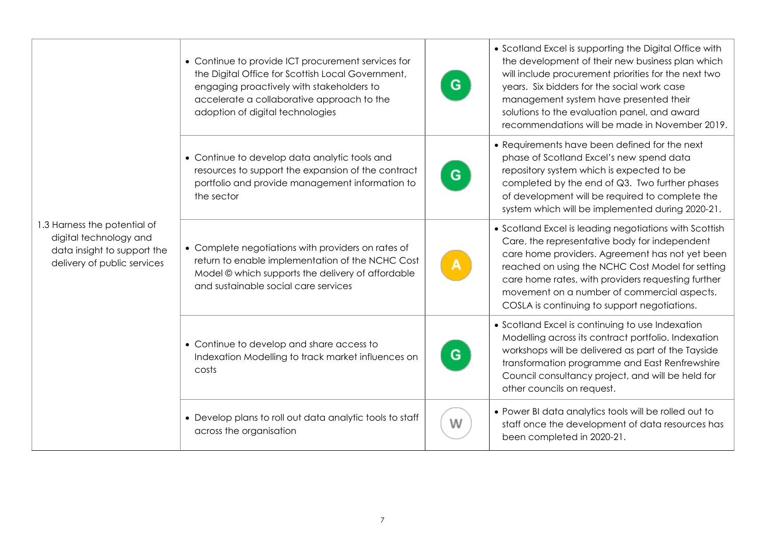|                                                                                                                      | • Continue to provide ICT procurement services for<br>the Digital Office for Scottish Local Government,<br>engaging proactively with stakeholders to<br>accelerate a collaborative approach to the<br>adoption of digital technologies | G | • Scotland Excel is supporting the Digital Office with<br>the development of their new business plan which<br>will include procurement priorities for the next two<br>years. Six bidders for the social work case<br>management system have presented their<br>solutions to the evaluation panel, and award<br>recommendations will be made in November 2019.       |
|----------------------------------------------------------------------------------------------------------------------|----------------------------------------------------------------------------------------------------------------------------------------------------------------------------------------------------------------------------------------|---|---------------------------------------------------------------------------------------------------------------------------------------------------------------------------------------------------------------------------------------------------------------------------------------------------------------------------------------------------------------------|
|                                                                                                                      | • Continue to develop data analytic tools and<br>resources to support the expansion of the contract<br>portfolio and provide management information to<br>the sector                                                                   | G | • Requirements have been defined for the next<br>phase of Scotland Excel's new spend data<br>repository system which is expected to be<br>completed by the end of Q3. Two further phases<br>of development will be required to complete the<br>system which will be implemented during 2020-21.                                                                     |
| 1.3 Harness the potential of<br>digital technology and<br>data insight to support the<br>delivery of public services | • Complete negotiations with providers on rates of<br>return to enable implementation of the NCHC Cost<br>Model © which supports the delivery of affordable<br>and sustainable social care services                                    |   | • Scotland Excel is leading negotiations with Scottish<br>Care, the representative body for independent<br>care home providers. Agreement has not yet been<br>reached on using the NCHC Cost Model for setting<br>care home rates, with providers requesting further<br>movement on a number of commercial aspects.<br>COSLA is continuing to support negotiations. |
|                                                                                                                      | • Continue to develop and share access to<br>Indexation Modelling to track market influences on<br>costs                                                                                                                               | G | • Scotland Excel is continuing to use Indexation<br>Modelling across its contract portfolio. Indexation<br>workshops will be delivered as part of the Tayside<br>transformation programme and East Renfrewshire<br>Council consultancy project, and will be held for<br>other councils on request.                                                                  |
|                                                                                                                      | • Develop plans to roll out data analytic tools to staff<br>across the organisation                                                                                                                                                    | W | . Power BI data analytics tools will be rolled out to<br>staff once the development of data resources has<br>been completed in 2020-21.                                                                                                                                                                                                                             |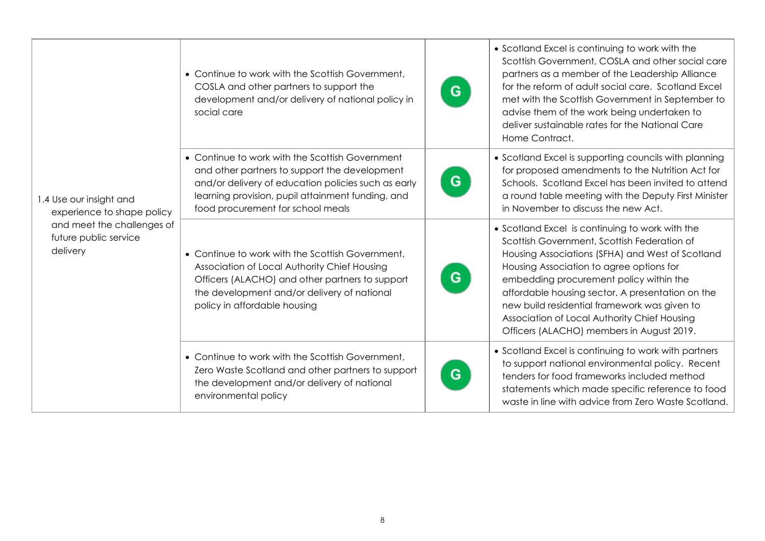|                                                                 | • Continue to work with the Scottish Government,<br>COSLA and other partners to support the<br>development and/or delivery of national policy in<br>social care                                                                                   | G | • Scotland Excel is continuing to work with the<br>Scottish Government, COSLA and other social care<br>partners as a member of the Leadership Alliance<br>for the reform of adult social care. Scotland Excel<br>met with the Scottish Government in September to<br>advise them of the work being undertaken to<br>deliver sustainable rates for the National Care<br>Home Contract.                                                      |
|-----------------------------------------------------------------|---------------------------------------------------------------------------------------------------------------------------------------------------------------------------------------------------------------------------------------------------|---|--------------------------------------------------------------------------------------------------------------------------------------------------------------------------------------------------------------------------------------------------------------------------------------------------------------------------------------------------------------------------------------------------------------------------------------------|
| 1.4 Use our insight and<br>experience to shape policy           | • Continue to work with the Scottish Government<br>and other partners to support the development<br>and/or delivery of education policies such as early<br>learning provision, pupil attainment funding, and<br>food procurement for school meals | G | • Scotland Excel is supporting councils with planning<br>for proposed amendments to the Nutrition Act for<br>Schools. Scotland Excel has been invited to attend<br>a round table meeting with the Deputy First Minister<br>in November to discuss the new Act.                                                                                                                                                                             |
| and meet the challenges of<br>future public service<br>delivery | • Continue to work with the Scottish Government,<br>Association of Local Authority Chief Housing<br>Officers (ALACHO) and other partners to support<br>the development and/or delivery of national<br>policy in affordable housing                | G | • Scotland Excel is continuing to work with the<br>Scottish Government, Scottish Federation of<br>Housing Associations (SFHA) and West of Scotland<br>Housing Association to agree options for<br>embedding procurement policy within the<br>affordable housing sector. A presentation on the<br>new build residential framework was given to<br>Association of Local Authority Chief Housing<br>Officers (ALACHO) members in August 2019. |
|                                                                 | • Continue to work with the Scottish Government,<br>Zero Waste Scotland and other partners to support<br>the development and/or delivery of national<br>environmental policy                                                                      | G | • Scotland Excel is continuing to work with partners<br>to support national environmental policy. Recent<br>tenders for food frameworks included method<br>statements which made specific reference to food<br>waste in line with advice from Zero Waste Scotland.                                                                                                                                                                         |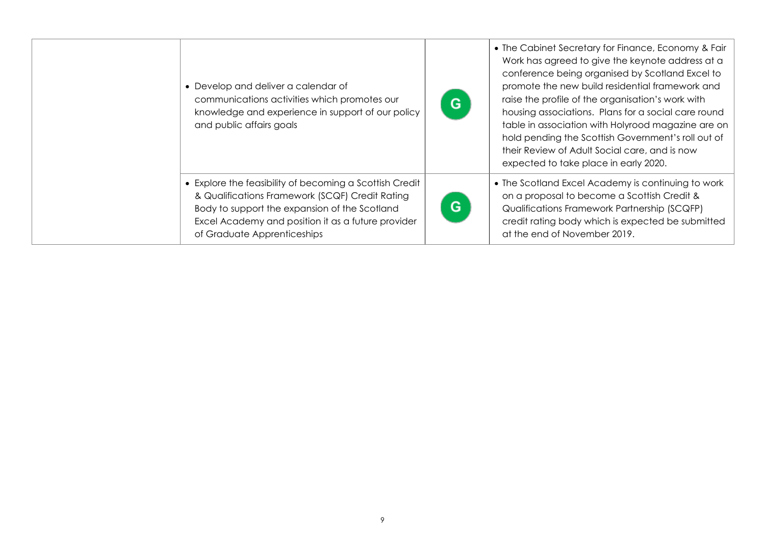| • Develop and deliver a calendar of<br>communications activities which promotes our<br>knowledge and experience in support of our policy<br>and public affairs goals                                                                             | G | • The Cabinet Secretary for Finance, Economy & Fair  <br>Work has agreed to give the keynote address at a<br>conference being organised by Scotland Excel to<br>promote the new build residential framework and<br>raise the profile of the organisation's work with<br>housing associations. Plans for a social care round<br>table in association with Holyrood magazine are on<br>hold pending the Scottish Government's roll out of<br>their Review of Adult Social care, and is now<br>expected to take place in early 2020. |
|--------------------------------------------------------------------------------------------------------------------------------------------------------------------------------------------------------------------------------------------------|---|-----------------------------------------------------------------------------------------------------------------------------------------------------------------------------------------------------------------------------------------------------------------------------------------------------------------------------------------------------------------------------------------------------------------------------------------------------------------------------------------------------------------------------------|
| • Explore the feasibility of becoming a Scottish Credit<br>& Qualifications Framework (SCQF) Credit Rating<br>Body to support the expansion of the Scotland<br>Excel Academy and position it as a future provider<br>of Graduate Apprenticeships | G | • The Scotland Excel Academy is continuing to work<br>on a proposal to become a Scottish Credit &<br>Qualifications Framework Partnership (SCQFP)<br>credit rating body which is expected be submitted<br>at the end of November 2019.                                                                                                                                                                                                                                                                                            |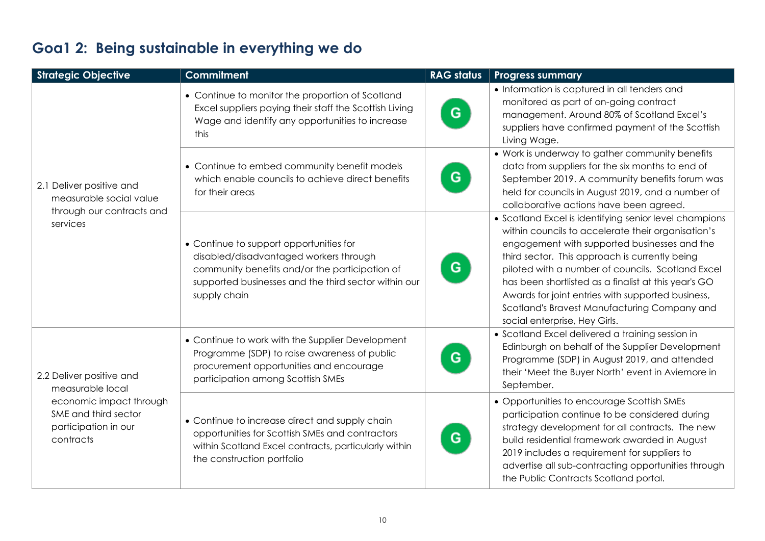| <b>Strategic Objective</b>                                                           | <b>Commitment</b>                                                                                                                                                                                           | <b>RAG status</b> | <b>Progress summary</b>                                                                                                                                                                                                                                                                                                                                                                                                                                           |
|--------------------------------------------------------------------------------------|-------------------------------------------------------------------------------------------------------------------------------------------------------------------------------------------------------------|-------------------|-------------------------------------------------------------------------------------------------------------------------------------------------------------------------------------------------------------------------------------------------------------------------------------------------------------------------------------------------------------------------------------------------------------------------------------------------------------------|
|                                                                                      | • Continue to monitor the proportion of Scotland<br>Excel suppliers paying their staff the Scottish Living<br>Wage and identify any opportunities to increase<br>this                                       | G                 | • Information is captured in all tenders and<br>monitored as part of on-going contract<br>management. Around 80% of Scotland Excel's<br>suppliers have confirmed payment of the Scottish<br>Living Wage.                                                                                                                                                                                                                                                          |
| 2.1 Deliver positive and<br>measurable social value<br>through our contracts and     | • Continue to embed community benefit models<br>which enable councils to achieve direct benefits<br>for their areas                                                                                         | G                 | • Work is underway to gather community benefits<br>data from suppliers for the six months to end of<br>September 2019. A community benefits forum was<br>held for councils in August 2019, and a number of<br>collaborative actions have been agreed.                                                                                                                                                                                                             |
| services                                                                             | • Continue to support opportunities for<br>disabled/disadvantaged workers through<br>community benefits and/or the participation of<br>supported businesses and the third sector within our<br>supply chain | G.                | • Scotland Excel is identifying senior level champions<br>within councils to accelerate their organisation's<br>engagement with supported businesses and the<br>third sector. This approach is currently being<br>piloted with a number of councils. Scotland Excel<br>has been shortlisted as a finalist at this year's GO<br>Awards for joint entries with supported business,<br>Scotland's Bravest Manufacturing Company and<br>social enterprise, Hey Girls. |
| 2.2 Deliver positive and<br>measurable local                                         | • Continue to work with the Supplier Development<br>Programme (SDP) to raise awareness of public<br>procurement opportunities and encourage<br>participation among Scottish SMEs                            | G                 | • Scotland Excel delivered a training session in<br>Edinburgh on behalf of the Supplier Development<br>Programme (SDP) in August 2019, and attended<br>their 'Meet the Buyer North' event in Aviemore in<br>September.                                                                                                                                                                                                                                            |
| economic impact through<br>SME and third sector<br>participation in our<br>contracts | • Continue to increase direct and supply chain<br>opportunities for Scottish SMEs and contractors<br>within Scotland Excel contracts, particularly within<br>the construction portfolio                     | G.                | • Opportunities to encourage Scottish SMEs<br>participation continue to be considered during<br>strategy development for all contracts. The new<br>build residential framework awarded in August<br>2019 includes a requirement for suppliers to<br>advertise all sub-contracting opportunities through<br>the Public Contracts Scotland portal.                                                                                                                  |

# **Goa1 2: Being sustainable in everything we do**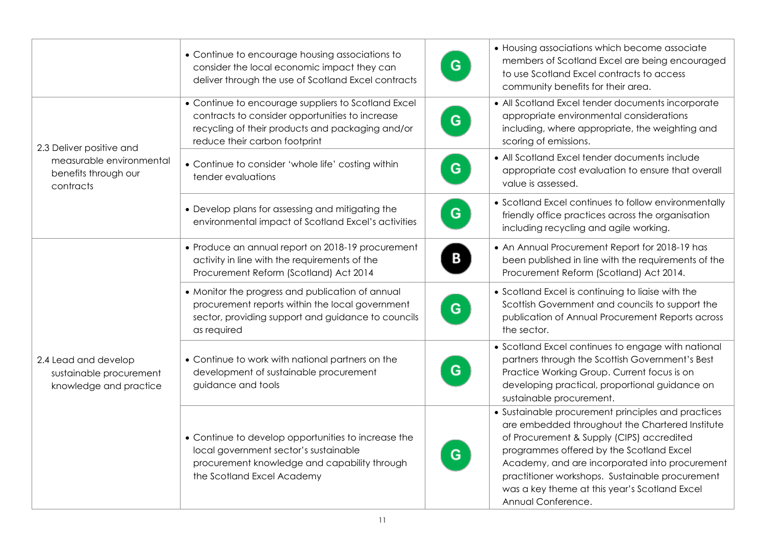|                                                                           | • Continue to encourage housing associations to<br>consider the local economic impact they can<br>deliver through the use of Scotland Excel contracts                                       | G | • Housing associations which become associate<br>members of Scotland Excel are being encouraged<br>to use Scotland Excel contracts to access<br>community benefits for their area.                                                                                                                                                                                         |
|---------------------------------------------------------------------------|---------------------------------------------------------------------------------------------------------------------------------------------------------------------------------------------|---|----------------------------------------------------------------------------------------------------------------------------------------------------------------------------------------------------------------------------------------------------------------------------------------------------------------------------------------------------------------------------|
| 2.3 Deliver positive and                                                  | • Continue to encourage suppliers to Scotland Excel<br>contracts to consider opportunities to increase<br>recycling of their products and packaging and/or<br>reduce their carbon footprint | G | • All Scotland Excel tender documents incorporate<br>appropriate environmental considerations<br>including, where appropriate, the weighting and<br>scoring of emissions.                                                                                                                                                                                                  |
| measurable environmental<br>benefits through our<br>contracts             | • Continue to consider 'whole life' costing within<br>tender evaluations                                                                                                                    | G | • All Scotland Excel tender documents include<br>appropriate cost evaluation to ensure that overall<br>value is assessed.                                                                                                                                                                                                                                                  |
|                                                                           | • Develop plans for assessing and mitigating the<br>environmental impact of Scotland Excel's activities                                                                                     | G | • Scotland Excel continues to follow environmentally<br>friendly office practices across the organisation<br>including recycling and agile working.                                                                                                                                                                                                                        |
|                                                                           | • Produce an annual report on 2018-19 procurement<br>activity in line with the requirements of the<br>Procurement Reform (Scotland) Act 2014                                                | в | • An Annual Procurement Report for 2018-19 has<br>been published in line with the requirements of the<br>Procurement Reform (Scotland) Act 2014.                                                                                                                                                                                                                           |
|                                                                           | • Monitor the progress and publication of annual<br>procurement reports within the local government<br>sector, providing support and guidance to councils<br>as required                    | G | • Scotland Excel is continuing to liaise with the<br>Scottish Government and councils to support the<br>publication of Annual Procurement Reports across<br>the sector.                                                                                                                                                                                                    |
| 2.4 Lead and develop<br>sustainable procurement<br>knowledge and practice | • Continue to work with national partners on the<br>development of sustainable procurement<br>guidance and tools                                                                            | G | • Scotland Excel continues to engage with national<br>partners through the Scottish Government's Best<br>Practice Working Group. Current focus is on<br>developing practical, proportional guidance on<br>sustainable procurement.                                                                                                                                         |
|                                                                           | • Continue to develop opportunities to increase the<br>local government sector's sustainable<br>procurement knowledge and capability through<br>the Scotland Excel Academy                  | G | • Sustainable procurement principles and practices<br>are embedded throughout the Chartered Institute<br>of Procurement & Supply (CIPS) accredited<br>programmes offered by the Scotland Excel<br>Academy, and are incorporated into procurement<br>practitioner workshops. Sustainable procurement<br>was a key theme at this year's Scotland Excel<br>Annual Conference. |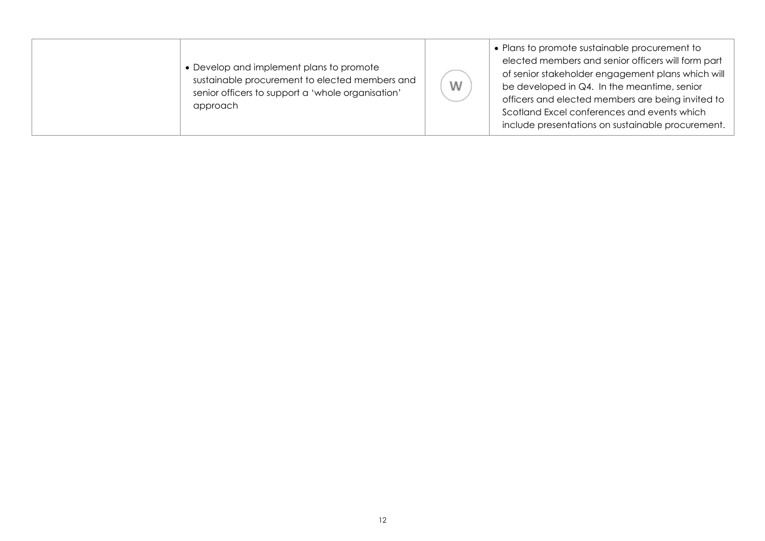| • Develop and implement plans to promote<br>sustainable procurement to elected members and<br>senior officers to support a 'whole organisation'<br>approach | W | • Plans to promote sustainable procurement to<br>elected members and senior officers will form part<br>of senior stakeholder engagement plans which will<br>be developed in $Q4$ . In the meantime, senior<br>officers and elected members are being invited to<br>Scotland Excel conferences and events which<br>include presentations on sustainable procurement. |
|-------------------------------------------------------------------------------------------------------------------------------------------------------------|---|---------------------------------------------------------------------------------------------------------------------------------------------------------------------------------------------------------------------------------------------------------------------------------------------------------------------------------------------------------------------|
|-------------------------------------------------------------------------------------------------------------------------------------------------------------|---|---------------------------------------------------------------------------------------------------------------------------------------------------------------------------------------------------------------------------------------------------------------------------------------------------------------------------------------------------------------------|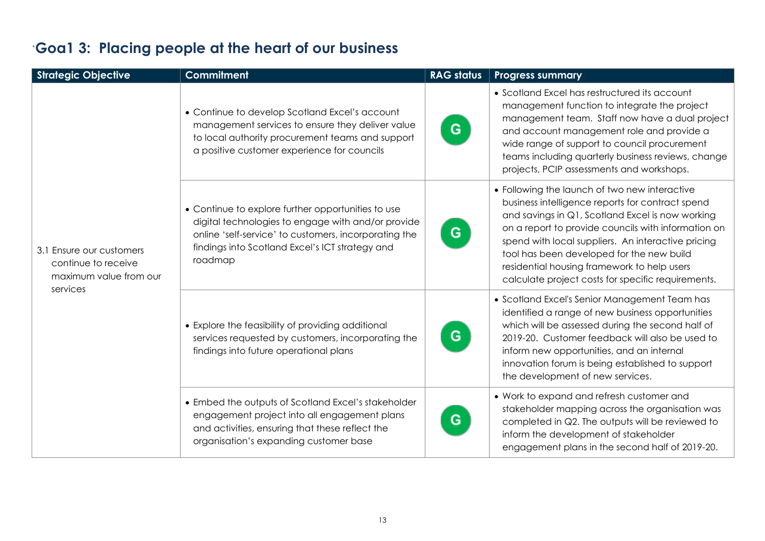| <b>Strategic Objective</b>                                                            | <b>Commitment</b>                                                                                                                                                                                                               | <b>RAG status</b> | <b>Progress summary</b>                                                                                                                                                                                                                                                                                                                                                                                              |
|---------------------------------------------------------------------------------------|---------------------------------------------------------------------------------------------------------------------------------------------------------------------------------------------------------------------------------|-------------------|----------------------------------------------------------------------------------------------------------------------------------------------------------------------------------------------------------------------------------------------------------------------------------------------------------------------------------------------------------------------------------------------------------------------|
|                                                                                       | • Continue to develop Scotland Excel's account<br>management services to ensure they deliver value<br>to local authority procurement teams and support<br>a positive customer experience for councils                           | G.                | • Scotland Excel has restructured its account<br>management function to integrate the project<br>management team. Staff now have a dual project<br>and account management role and provide a<br>wide range of support to council procurement<br>teams including quarterly business reviews, change<br>projects, PCIP assessments and workshops.                                                                      |
| 3.1 Ensure our customers<br>continue to receive<br>maximum value from our<br>services | • Continue to explore further opportunities to use<br>digital technologies to engage with and/or provide<br>online 'self-service' to customers, incorporating the<br>findings into Scotland Excel's ICT strategy and<br>roadmap | G                 | • Following the launch of two new interactive<br>business intelligence reports for contract spend<br>and savings in Q1, Scotland Excel is now working<br>on a report to provide councils with information on<br>spend with local suppliers. An interactive pricing<br>tool has been developed for the new build<br>residential housing framework to help users<br>calculate project costs for specific requirements. |
|                                                                                       | • Explore the feasibility of providing additional<br>services requested by customers, incorporating the<br>findings into future operational plans                                                                               | G                 | • Scotland Excel's Senior Management Team has<br>identified a range of new business opportunities<br>which will be assessed during the second half of<br>2019-20. Customer feedback will also be used to<br>inform new opportunities, and an internal<br>innovation forum is being established to support<br>the development of new services.                                                                        |
|                                                                                       | • Embed the outputs of Scotland Excel's stakeholder<br>engagement project into all engagement plans<br>and activities, ensuring that these reflect the<br>organisation's expanding customer base                                | G                 | • Work to expand and refresh customer and<br>stakeholder mapping across the organisation was<br>completed in Q2. The outputs will be reviewed to<br>inform the development of stakeholder<br>engagement plans in the second half of 2019-20.                                                                                                                                                                         |

# `**Goa1 3: Placing people at the heart of our business**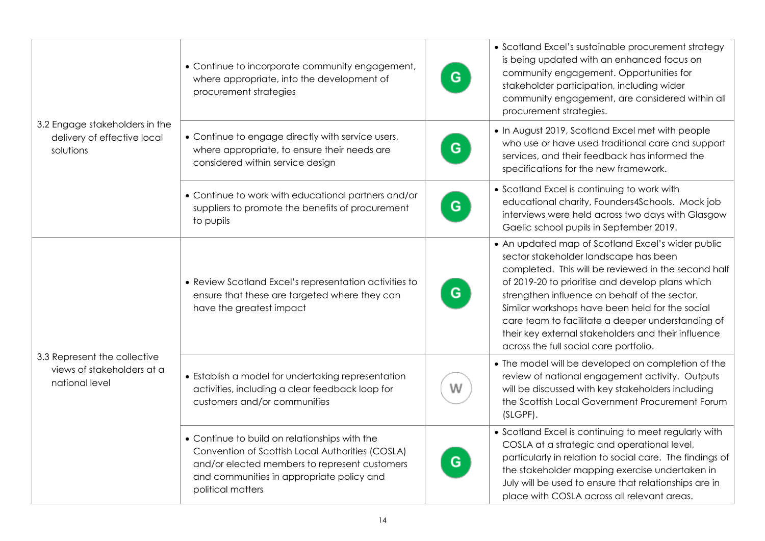|                                                                              | • Continue to incorporate community engagement,<br>where appropriate, into the development of<br>procurement strategies                                                                                              | G | • Scotland Excel's sustainable procurement strategy<br>is being updated with an enhanced focus on<br>community engagement. Opportunities for<br>stakeholder participation, including wider<br>community engagement, are considered within all<br>procurement strategies.                                                                                                                                                                                        |
|------------------------------------------------------------------------------|----------------------------------------------------------------------------------------------------------------------------------------------------------------------------------------------------------------------|---|-----------------------------------------------------------------------------------------------------------------------------------------------------------------------------------------------------------------------------------------------------------------------------------------------------------------------------------------------------------------------------------------------------------------------------------------------------------------|
| 3.2 Engage stakeholders in the<br>delivery of effective local<br>solutions   | • Continue to engage directly with service users,<br>where appropriate, to ensure their needs are<br>considered within service design                                                                                | G | • In August 2019, Scotland Excel met with people<br>who use or have used traditional care and support<br>services, and their feedback has informed the<br>specifications for the new framework.                                                                                                                                                                                                                                                                 |
|                                                                              | • Continue to work with educational partners and/or<br>suppliers to promote the benefits of procurement<br>to pupils                                                                                                 | G | • Scotland Excel is continuing to work with<br>educational charity, Founders4Schools. Mock job<br>interviews were held across two days with Glasgow<br>Gaelic school pupils in September 2019.                                                                                                                                                                                                                                                                  |
|                                                                              | • Review Scotland Excel's representation activities to<br>ensure that these are targeted where they can<br>have the greatest impact                                                                                  | G | • An updated map of Scotland Excel's wider public<br>sector stakeholder landscape has been<br>completed. This will be reviewed in the second half<br>of 2019-20 to prioritise and develop plans which<br>strengthen influence on behalf of the sector.<br>Similar workshops have been held for the social<br>care team to facilitate a deeper understanding of<br>their key external stakeholders and their influence<br>across the full social care portfolio. |
| 3.3 Represent the collective<br>views of stakeholders at a<br>national level | • Establish a model for undertaking representation<br>activities, including a clear feedback loop for<br>customers and/or communities                                                                                | W | • The model will be developed on completion of the<br>review of national engagement activity. Outputs<br>will be discussed with key stakeholders including<br>the Scottish Local Government Procurement Forum<br>(SLGPF).                                                                                                                                                                                                                                       |
|                                                                              | • Continue to build on relationships with the<br>Convention of Scottish Local Authorities (COSLA)<br>and/or elected members to represent customers<br>and communities in appropriate policy and<br>political matters | G | • Scotland Excel is continuing to meet regularly with<br>COSLA at a strategic and operational level,<br>particularly in relation to social care. The findings of<br>the stakeholder mapping exercise undertaken in<br>July will be used to ensure that relationships are in<br>place with COSLA across all relevant areas.                                                                                                                                      |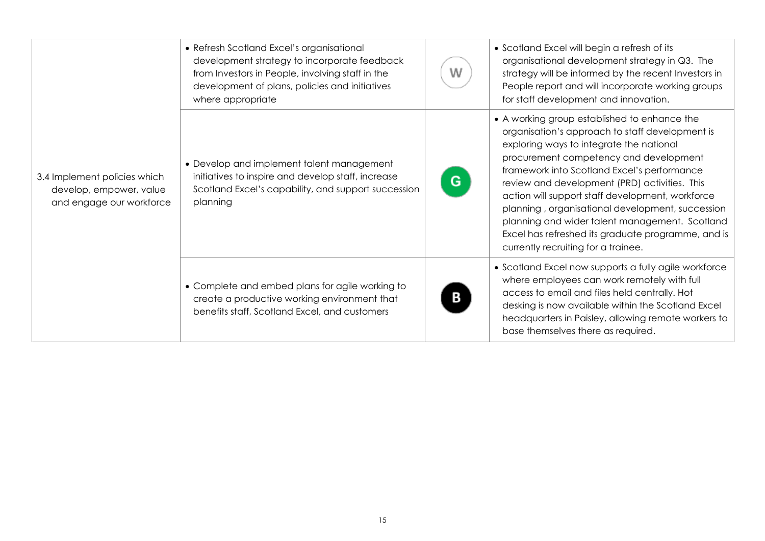| 3.4 Implement policies which<br>develop, empower, value<br>and engage our workforce | • Refresh Scotland Excel's organisational<br>development strategy to incorporate feedback<br>from Investors in People, involving staff in the<br>development of plans, policies and initiatives<br>where appropriate | W | • Scotland Excel will begin a refresh of its<br>organisational development strategy in Q3. The<br>strategy will be informed by the recent Investors in<br>People report and will incorporate working groups<br>for staff development and innovation.                                                                                                                                                                                                                                                                                         |
|-------------------------------------------------------------------------------------|----------------------------------------------------------------------------------------------------------------------------------------------------------------------------------------------------------------------|---|----------------------------------------------------------------------------------------------------------------------------------------------------------------------------------------------------------------------------------------------------------------------------------------------------------------------------------------------------------------------------------------------------------------------------------------------------------------------------------------------------------------------------------------------|
|                                                                                     | • Develop and implement talent management<br>initiatives to inspire and develop staff, increase<br>Scotland Excel's capability, and support succession<br>planning                                                   | G | • A working group established to enhance the<br>organisation's approach to staff development is<br>exploring ways to integrate the national<br>procurement competency and development<br>framework into Scotland Excel's performance<br>review and development (PRD) activities. This<br>action will support staff development, workforce<br>planning, organisational development, succession<br>planning and wider talent management. Scotland<br>Excel has refreshed its graduate programme, and is<br>currently recruiting for a trainee. |
|                                                                                     | • Complete and embed plans for agile working to<br>create a productive working environment that<br>benefits staff, Scotland Excel, and customers                                                                     |   | • Scotland Excel now supports a fully agile workforce<br>where employees can work remotely with full<br>access to email and files held centrally. Hot<br>desking is now available within the Scotland Excel<br>headquarters in Paisley, allowing remote workers to<br>base themselves there as required.                                                                                                                                                                                                                                     |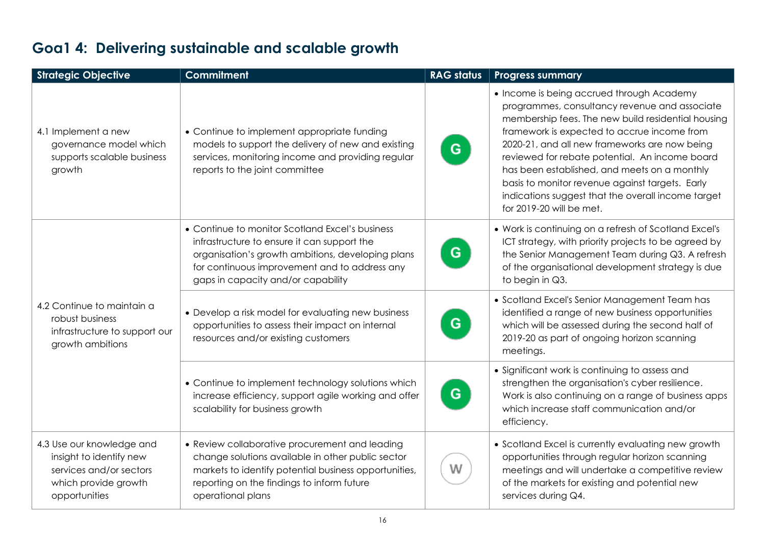| <b>Strategic Objective</b>                                                                                               | <b>Commitment</b>                                                                                                                                                                                                                          | <b>RAG status</b> | <b>Progress summary</b>                                                                                                                                                                                                                                                                                                                                                                                                                                                                 |
|--------------------------------------------------------------------------------------------------------------------------|--------------------------------------------------------------------------------------------------------------------------------------------------------------------------------------------------------------------------------------------|-------------------|-----------------------------------------------------------------------------------------------------------------------------------------------------------------------------------------------------------------------------------------------------------------------------------------------------------------------------------------------------------------------------------------------------------------------------------------------------------------------------------------|
| 4.1 Implement a new<br>governance model which<br>supports scalable business<br>growth                                    | • Continue to implement appropriate funding<br>models to support the delivery of new and existing<br>services, monitoring income and providing regular<br>reports to the joint committee                                                   | G                 | • Income is being accrued through Academy<br>programmes, consultancy revenue and associate<br>membership fees. The new build residential housing<br>framework is expected to accrue income from<br>2020-21, and all new frameworks are now being<br>reviewed for rebate potential. An income board<br>has been established, and meets on a monthly<br>basis to monitor revenue against targets. Early<br>indications suggest that the overall income target<br>for 2019-20 will be met. |
| 4.2 Continue to maintain a<br>robust business<br>infrastructure to support our<br>growth ambitions                       | • Continue to monitor Scotland Excel's business<br>infrastructure to ensure it can support the<br>organisation's growth ambitions, developing plans<br>for continuous improvement and to address any<br>gaps in capacity and/or capability | G                 | • Work is continuing on a refresh of Scotland Excel's<br>ICT strategy, with priority projects to be agreed by<br>the Senior Management Team during Q3. A refresh<br>of the organisational development strategy is due<br>to begin in Q3.                                                                                                                                                                                                                                                |
|                                                                                                                          | • Develop a risk model for evaluating new business<br>opportunities to assess their impact on internal<br>resources and/or existing customers                                                                                              | G                 | • Scotland Excel's Senior Management Team has<br>identified a range of new business opportunities<br>which will be assessed during the second half of<br>2019-20 as part of ongoing horizon scanning<br>meetings.                                                                                                                                                                                                                                                                       |
|                                                                                                                          | • Continue to implement technology solutions which<br>increase efficiency, support agile working and offer<br>scalability for business growth                                                                                              | G.                | • Significant work is continuing to assess and<br>strengthen the organisation's cyber resilience.<br>Work is also continuing on a range of business apps<br>which increase staff communication and/or<br>efficiency.                                                                                                                                                                                                                                                                    |
| 4.3 Use our knowledge and<br>insight to identify new<br>services and/or sectors<br>which provide growth<br>opportunities | • Review collaborative procurement and leading<br>change solutions available in other public sector<br>markets to identify potential business opportunities,<br>reporting on the findings to inform future<br>operational plans            | W                 | • Scotland Excel is currently evaluating new growth<br>opportunities through regular horizon scanning<br>meetings and will undertake a competitive review<br>of the markets for existing and potential new<br>services during Q4.                                                                                                                                                                                                                                                       |

# **Goa1 4: Delivering sustainable and scalable growth**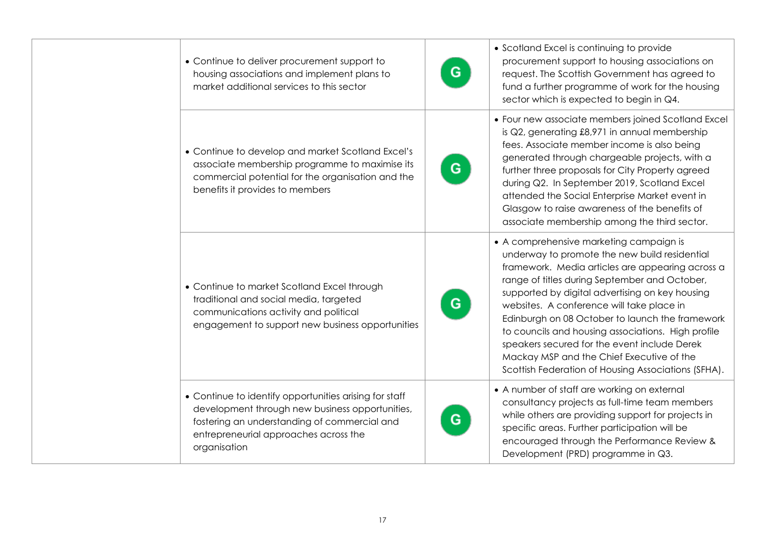| • Continue to deliver procurement support to<br>housing associations and implement plans to<br>market additional services to this sector                                                                           | G  | • Scotland Excel is continuing to provide<br>procurement support to housing associations on<br>request. The Scottish Government has agreed to<br>fund a further programme of work for the housing<br>sector which is expected to begin in Q4.                                                                                                                                                                                                                                                                                                              |
|--------------------------------------------------------------------------------------------------------------------------------------------------------------------------------------------------------------------|----|------------------------------------------------------------------------------------------------------------------------------------------------------------------------------------------------------------------------------------------------------------------------------------------------------------------------------------------------------------------------------------------------------------------------------------------------------------------------------------------------------------------------------------------------------------|
| • Continue to develop and market Scotland Excel's<br>associate membership programme to maximise its<br>commercial potential for the organisation and the<br>benefits it provides to members                        | G. | • Four new associate members joined Scotland Excel<br>is Q2, generating £8,971 in annual membership<br>fees. Associate member income is also being<br>generated through chargeable projects, with a<br>further three proposals for City Property agreed<br>during Q2. In September 2019, Scotland Excel<br>attended the Social Enterprise Market event in<br>Glasgow to raise awareness of the benefits of<br>associate membership among the third sector.                                                                                                 |
| • Continue to market Scotland Excel through<br>traditional and social media, targeted<br>communications activity and political<br>engagement to support new business opportunities                                 | G  | • A comprehensive marketing campaign is<br>underway to promote the new build residential<br>framework. Media articles are appearing across a<br>range of titles during September and October,<br>supported by digital advertising on key housing<br>websites. A conference will take place in<br>Edinburgh on 08 October to launch the framework<br>to councils and housing associations. High profile<br>speakers secured for the event include Derek<br>Mackay MSP and the Chief Executive of the<br>Scottish Federation of Housing Associations (SFHA). |
| • Continue to identify opportunities arising for staff<br>development through new business opportunities,<br>fostering an understanding of commercial and<br>entrepreneurial approaches across the<br>organisation | G  | • A number of staff are working on external<br>consultancy projects as full-time team members<br>while others are providing support for projects in<br>specific areas. Further participation will be<br>encouraged through the Performance Review &<br>Development (PRD) programme in Q3.                                                                                                                                                                                                                                                                  |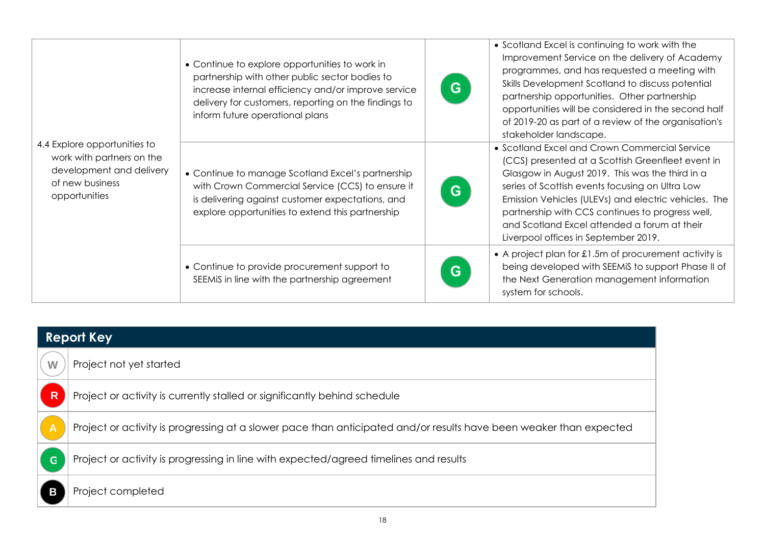| 4.4 Explore opportunities to<br>work with partners on the<br>development and delivery<br>of new business<br>opportunities | • Continue to explore opportunities to work in<br>partnership with other public sector bodies to<br>increase internal efficiency and/or improve service<br>delivery for customers, reporting on the findings to<br>inform future operational plans | G | • Scotland Excel is continuing to work with the<br>Improvement Service on the delivery of Academy<br>programmes, and has requested a meeting with<br>Skills Development Scotland to discuss potential<br>partnership opportunities. Other partnership<br>opportunities will be considered in the second half<br>of 2019-20 as part of a review of the organisation's<br>stakeholder landscape.               |
|---------------------------------------------------------------------------------------------------------------------------|----------------------------------------------------------------------------------------------------------------------------------------------------------------------------------------------------------------------------------------------------|---|--------------------------------------------------------------------------------------------------------------------------------------------------------------------------------------------------------------------------------------------------------------------------------------------------------------------------------------------------------------------------------------------------------------|
|                                                                                                                           | • Continue to manage Scotland Excel's partnership<br>with Crown Commercial Service (CCS) to ensure it<br>is delivering against customer expectations, and<br>explore opportunities to extend this partnership                                      | G | • Scotland Excel and Crown Commercial Service<br>(CCS) presented at a Scottish Greenfleet event in<br>Glasgow in August 2019. This was the third in a<br>series of Scottish events focusing on Ultra Low<br>Emission Vehicles (ULEVs) and electric vehicles. The<br>partnership with CCS continues to progress well,<br>and Scotland Excel attended a forum at their<br>Liverpool offices in September 2019. |
|                                                                                                                           | • Continue to provide procurement support to<br>SEEMIS in line with the partnership agreement                                                                                                                                                      | G | • A project plan for £1.5m of procurement activity is<br>being developed with SEEMIS to support Phase II of<br>the Next Generation management information<br>system for schools.                                                                                                                                                                                                                             |

| <b>Report Key</b> |                                                                                                                    |  |  |
|-------------------|--------------------------------------------------------------------------------------------------------------------|--|--|
| W                 | Project not yet started                                                                                            |  |  |
| R                 | Project or activity is currently stalled or significantly behind schedule                                          |  |  |
| $\overline{A}$    | Project or activity is progressing at a slower pace than anticipated and/or results have been weaker than expected |  |  |
| G                 | Project or activity is progressing in line with expected/agreed timelines and results                              |  |  |
|                   | Project completed                                                                                                  |  |  |